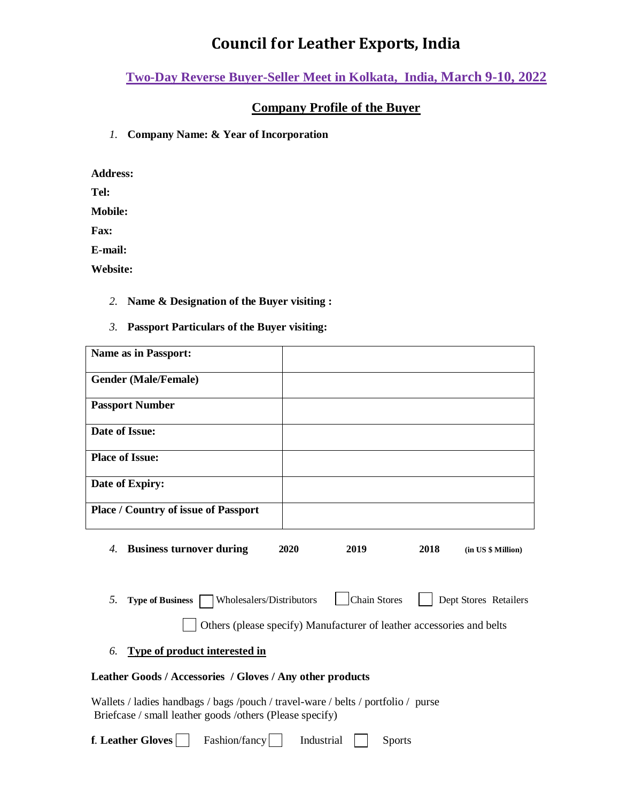## **Council for Leather Exports, India**

**Two-Day Reverse Buyer-Seller Meet in Kolkata, India, March 9-10, 2022**

## **Company Profile of the Buyer**

*1.* **Company Name: & Year of Incorporation** 

**Address:**

**Tel:**

**Mobile:** 

**Fax:**

**E-mail:**

**Website:**

- *2.* **Name & Designation of the Buyer visiting :**
- *3.* **Passport Particulars of the Buyer visiting:**

| <b>Name as in Passport:</b>                                                                                                                                                        |              |      |                    |
|------------------------------------------------------------------------------------------------------------------------------------------------------------------------------------|--------------|------|--------------------|
| <b>Gender (Male/Female)</b>                                                                                                                                                        |              |      |                    |
| <b>Passport Number</b>                                                                                                                                                             |              |      |                    |
| Date of Issue:                                                                                                                                                                     |              |      |                    |
| <b>Place of Issue:</b>                                                                                                                                                             |              |      |                    |
| Date of Expiry:                                                                                                                                                                    |              |      |                    |
| <b>Place / Country of issue of Passport</b>                                                                                                                                        |              |      |                    |
| <b>Business turnover during</b><br>4.                                                                                                                                              | 2020<br>2019 | 2018 | (in US \$ Million) |
| <b>Chain Stores</b><br>Wholesalers/Distributors<br>Dept Stores Retailers<br>5.<br><b>Type of Business</b><br>Others (please specify) Manufacturer of leather accessories and belts |              |      |                    |
| Type of product interested in<br>6.                                                                                                                                                |              |      |                    |
| Leather Goods / Accessories / Gloves / Any other products                                                                                                                          |              |      |                    |
| Wallets / ladies handbags / bags /pouch / travel-ware / belts / portfolio / purse<br>Briefcase / small leather goods /others (Please specify)                                      |              |      |                    |
| f. Leather Gloves<br>Fashion/fancy<br>Industrial<br><b>Sports</b>                                                                                                                  |              |      |                    |